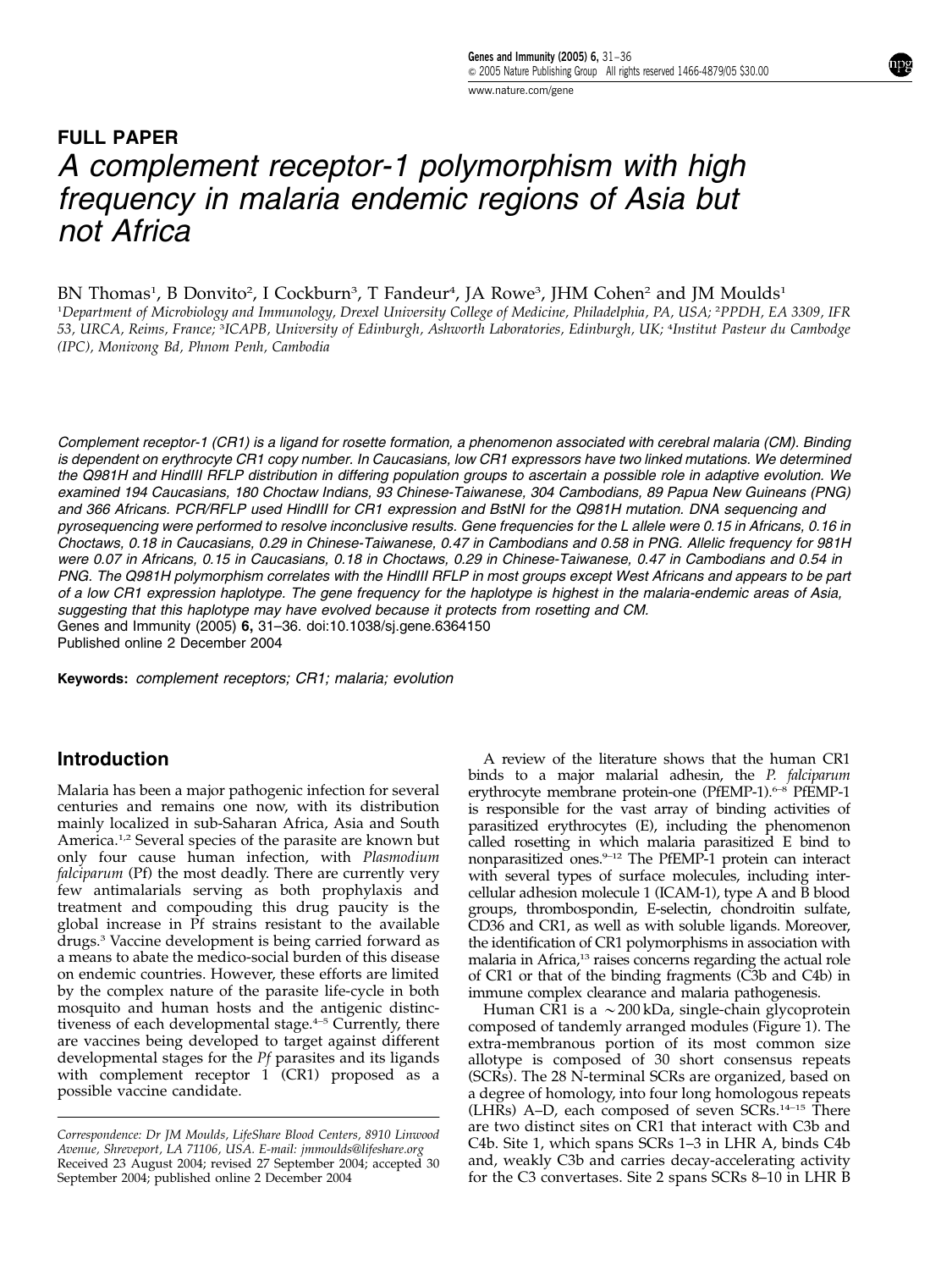www.nature.com/gene

# FULL PAPER A complement receptor-1 polymorphism with high frequency in malaria endemic regions of Asia but not Africa

BN Thomas<sup>1</sup>, B Donvito<sup>2</sup>, I Cockburn<sup>3</sup>, T Fandeur<sup>4</sup>, JA Rowe<sup>3</sup>, JHM Cohen<sup>2</sup> and JM Moulds<sup>1</sup> 1 Department of Microbiology and Immunology, Drexel University College of Medicine, Philadelphia, PA, USA; <sup>2</sup> PPDH, EA 3309, IFR 53, URCA, Reims, France; <sup>3</sup> ICAPB, University of Edinburgh, Ashworth Laboratories, Edinburgh, UK; <sup>4</sup> Institut Pasteur du Cambodge (IPC), Monivong Bd, Phnom Penh, Cambodia

Complement receptor-1 (CR1) is a ligand for rosette formation, a phenomenon associated with cerebral malaria (CM). Binding is dependent on erythrocyte CR1 copy number. In Caucasians, low CR1 expressors have two linked mutations. We determined the Q981H and HindIII RFLP distribution in differing population groups to ascertain a possible role in adaptive evolution. We examined 194 Caucasians, 180 Choctaw Indians, 93 Chinese-Taiwanese, 304 Cambodians, 89 Papua New Guineans (PNG) and 366 Africans. PCR/RFLP used HindIII for CR1 expression and BstNI for the Q981H mutation. DNA sequencing and pyrosequencing were performed to resolve inconclusive results. Gene frequencies for the L allele were 0.15 in Africans, 0.16 in Choctaws, 0.18 in Caucasians, 0.29 in Chinese-Taiwanese, 0.47 in Cambodians and 0.58 in PNG. Allelic frequency for 981H were 0.07 in Africans, 0.15 in Caucasians, 0.18 in Choctaws, 0.29 in Chinese-Taiwanese, 0.47 in Cambodians and 0.54 in PNG. The Q981H polymorphism correlates with the HindIII RFLP in most groups except West Africans and appears to be part of a low CR1 expression haplotype. The gene frequency for the haplotype is highest in the malaria-endemic areas of Asia, suggesting that this haplotype may have evolved because it protects from rosetting and CM. Genes and Immunity (2005) 6, 31–36. doi:10.1038/sj.gene.6364150

Published online 2 December 2004

Keywords: complement receptors; CR1; malaria; evolution

## Introduction

Malaria has been a major pathogenic infection for several centuries and remains one now, with its distribution mainly localized in sub-Saharan Africa, Asia and South America.<sup>1,2</sup> Several species of the parasite are known but only four cause human infection, with Plasmodium falciparum (Pf) the most deadly. There are currently very few antimalarials serving as both prophylaxis and treatment and compouding this drug paucity is the global increase in Pf strains resistant to the available drugs.3 Vaccine development is being carried forward as a means to abate the medico-social burden of this disease on endemic countries. However, these efforts are limited by the complex nature of the parasite life-cycle in both mosquito and human hosts and the antigenic distinctiveness of each developmental stage.<sup>4-5</sup> Currently, there are vaccines being developed to target against different developmental stages for the Pf parasites and its ligands with complement receptor 1 (CR1) proposed as a possible vaccine candidate.

A review of the literature shows that the human CR1 binds to a major malarial adhesin, the P. falciparum erythrocyte membrane protein-one (PfEMP-1).6–8 PfEMP-1 is responsible for the vast array of binding activities of parasitized erythrocytes (E), including the phenomenon called rosetting in which malaria parasitized E bind to nonparasitized ones.<sup>9-12</sup> The PfEMP-1 protein can interact with several types of surface molecules, including intercellular adhesion molecule 1 (ICAM-1), type A and B blood groups, thrombospondin, E-selectin, chondroitin sulfate, CD36 and CR1, as well as with soluble ligands. Moreover, the identification of CR1 polymorphisms in association with malaria in Africa,<sup>13</sup> raises concerns regarding the actual role of CR1 or that of the binding fragments (C3b and C4b) in immune complex clearance and malaria pathogenesis.

Human CR1 is a  $\sim$  200 kDa, single-chain glycoprotein composed of tandemly arranged modules (Figure 1). The extra-membranous portion of its most common size allotype is composed of 30 short consensus repeats (SCRs). The 28 N-terminal SCRs are organized, based on a degree of homology, into four long homologous repeats (LHRs) A–D, each composed of seven SCRs.14–15 There are two distinct sites on CR1 that interact with C3b and C4b. Site 1, which spans SCRs 1–3 in LHR A, binds C4b and, weakly C3b and carries decay-accelerating activity

Received 23 August 2004; revised 27 September 2004; accepted 30 and, weakly C3b and carries decay-accelerating activity<br>September 2004; published online 2 December 2004 for the C3 convertases. Site 2 spans SCRs 8–10 in LHR September 2004; published online 2 December 2004 Correspondence: Dr JM Moulds, LifeShare Blood Centers, 8910 Linwood Avenue, Shreveport, LA 71106, USA. E-mail: jmmoulds@lifeshare.org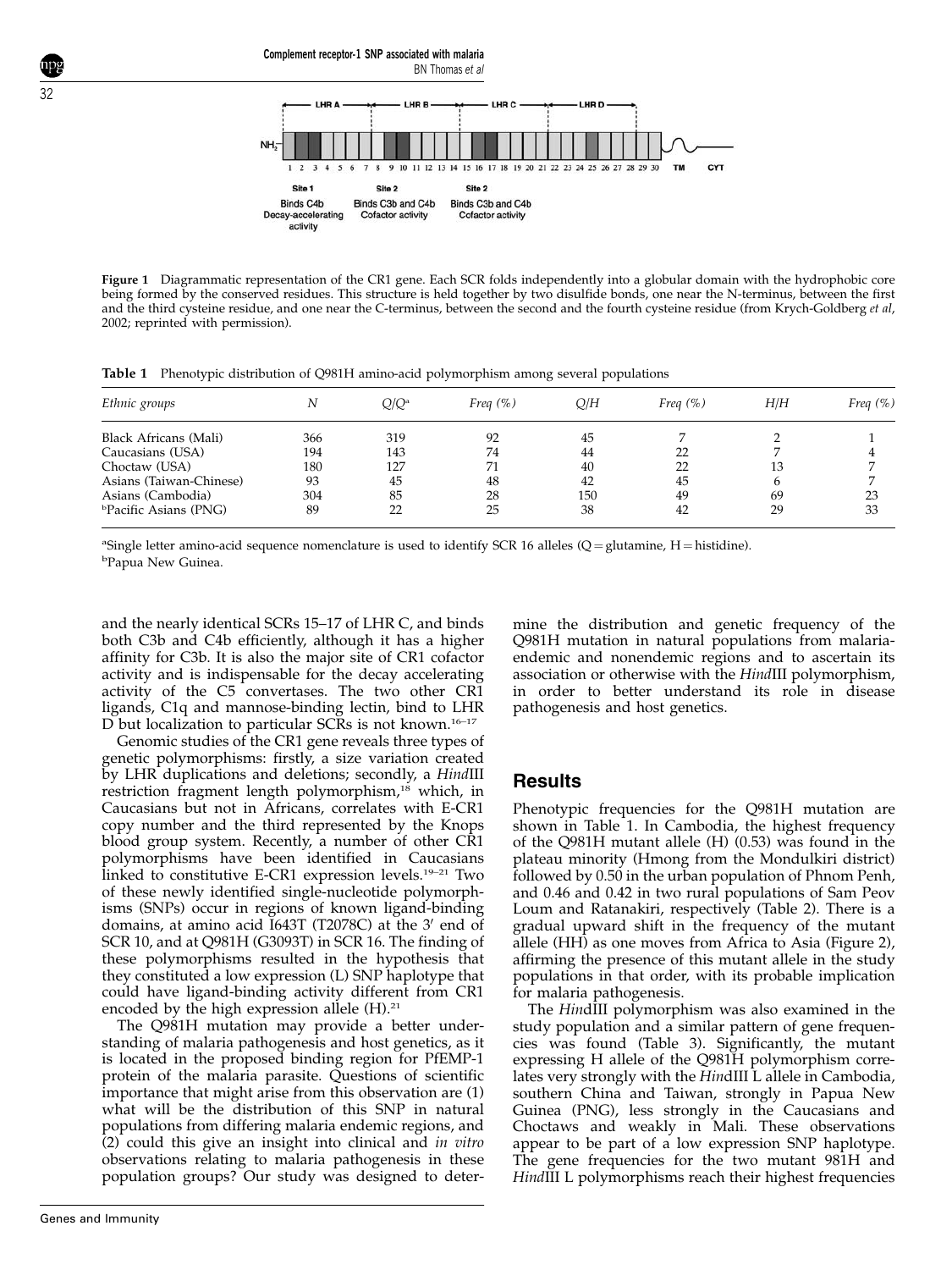

Figure 1 Diagrammatic representation of the CR1 gene. Each SCR folds independently into a globular domain with the hydrophobic core being formed by the conserved residues. This structure is held together by two disulfide bonds, one near the N-terminus, between the first and the third cysteine residue, and one near the C-terminus, between the second and the fourth cysteine residue (from Krych-Goldberg et al, 2002; reprinted with permission).

Table 1 Phenotypic distribution of Q981H amino-acid polymorphism among several populations

Complement receptor-1 SNP associated with malaria

| Ethnic groups               |     | $Q/Q^a$ | Freq $(\%)$ | Q/H | Freq $(\%)$ | H/H | Freq $(\%)$ |
|-----------------------------|-----|---------|-------------|-----|-------------|-----|-------------|
| Black Africans (Mali)       | 366 | 319     | 92          | 45  |             |     |             |
| Caucasians (USA)            | 194 | 143     | 74          | 44  | 22          |     |             |
| Choctaw (USA)               | 180 | 127     | 71          | 40  | 22          | 13  |             |
| Asians (Taiwan-Chinese)     | 93  | 45      | 48          | 42  | 45          | h   |             |
| Asians (Cambodia)           | 304 | 85      | 28          | 150 | 49          | 69  | 23          |
| <b>Pacific Asians (PNG)</b> | 89  | 22      | 25          | 38  | 42          | 29  | 33          |

<sup>a</sup>Single letter amino-acid sequence nomenclature is used to identify SCR 16 alleles (Q = glutamine, H = histidine). <sup>b</sup>Papua New Guinea.

and the nearly identical SCRs 15–17 of LHR C, and binds both C3b and C4b efficiently, although it has a higher affinity for C3b. It is also the major site of CR1 cofactor activity and is indispensable for the decay accelerating activity of the C5 convertases. The two other CR1 ligands, C1q and mannose-binding lectin, bind to LHR D but localization to particular SCRs is not known.<sup>16–17</sup>

Genomic studies of the CR1 gene reveals three types of genetic polymorphisms: firstly, a size variation created by LHR duplications and deletions; secondly, a HindIII restriction fragment length polymorphism,<sup>18</sup> which, in Caucasians but not in Africans, correlates with E-CR1 copy number and the third represented by the Knops blood group system. Recently, a number of other CR1 polymorphisms have been identified in Caucasians linked to constitutive E-CR1 expression levels.19–21 Two of these newly identified single-nucleotide polymorphisms (SNPs) occur in regions of known ligand-binding domains, at amino acid  $I643T$  (T2078C) at the 3' end of SCR 10, and at Q981H (G3093T) in SCR 16. The finding of these polymorphisms resulted in the hypothesis that they constituted a low expression (L) SNP haplotype that could have ligand-binding activity different from CR1 encoded by the high expression allele  $(H).<sup>21</sup>$ 

The Q981H mutation may provide a better understanding of malaria pathogenesis and host genetics, as it is located in the proposed binding region for PfEMP-1 protein of the malaria parasite. Questions of scientific importance that might arise from this observation are (1) what will be the distribution of this SNP in natural populations from differing malaria endemic regions, and (2) could this give an insight into clinical and in vitro observations relating to malaria pathogenesis in these population groups? Our study was designed to determine the distribution and genetic frequency of the Q981H mutation in natural populations from malariaendemic and nonendemic regions and to ascertain its association or otherwise with the HindIII polymorphism, in order to better understand its role in disease pathogenesis and host genetics.

## **Results**

Phenotypic frequencies for the Q981H mutation are shown in Table 1. In Cambodia, the highest frequency of the Q981H mutant allele (H) (0.53) was found in the plateau minority (Hmong from the Mondulkiri district) followed by 0.50 in the urban population of Phnom Penh, and 0.46 and 0.42 in two rural populations of Sam Peov Loum and Ratanakiri, respectively (Table 2). There is a gradual upward shift in the frequency of the mutant allele (HH) as one moves from Africa to Asia (Figure 2), affirming the presence of this mutant allele in the study populations in that order, with its probable implication for malaria pathogenesis.

The HindIII polymorphism was also examined in the study population and a similar pattern of gene frequencies was found (Table 3). Significantly, the mutant expressing H allele of the Q981H polymorphism correlates very strongly with the HindIII L allele in Cambodia, southern China and Taiwan, strongly in Papua New Guinea (PNG), less strongly in the Caucasians and Choctaws and weakly in Mali. These observations appear to be part of a low expression SNP haplotype. The gene frequencies for the two mutant 981H and HindIII L polymorphisms reach their highest frequencies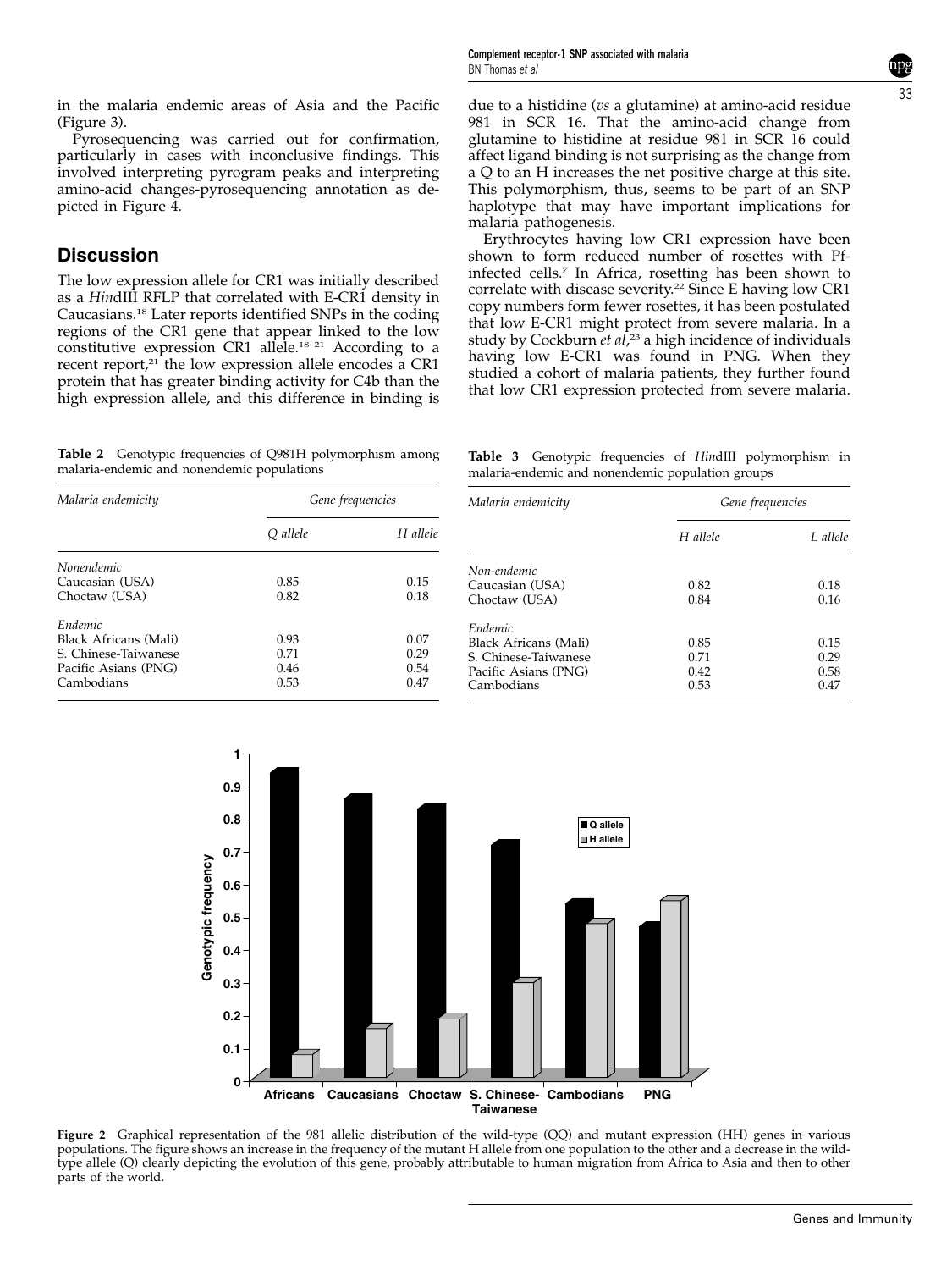in the malaria endemic areas of Asia and the Pacific (Figure 3).

Pyrosequencing was carried out for confirmation, particularly in cases with inconclusive findings. This involved interpreting pyrogram peaks and interpreting amino-acid changes-pyrosequencing annotation as depicted in Figure 4.

# **Discussion**

The low expression allele for CR1 was initially described as a HindIII RFLP that correlated with E-CR1 density in Caucasians.18 Later reports identified SNPs in the coding regions of the CR1 gene that appear linked to the low constitutive expression CR1 allele.<sup>18-21</sup> According to a recent report,<sup>21</sup> the low expression allele encodes a CR1 protein that has greater binding activity for C4b than the high expression allele, and this difference in binding is due to a histidine (vs a glutamine) at amino-acid residue 981 in SCR 16. That the amino-acid change from glutamine to histidine at residue 981 in SCR 16 could affect ligand binding is not surprising as the change from a Q to an H increases the net positive charge at this site. This polymorphism, thus, seems to be part of an SNP haplotype that may have important implications for malaria pathogenesis.

Erythrocytes having low CR1 expression have been shown to form reduced number of rosettes with Pfinfected cells.<sup>7</sup> In Africa, rosetting has been shown to correlate with disease severity.<sup>22</sup> Since E having low CR1 copy numbers form fewer rosettes, it has been postulated that low E-CR1 might protect from severe malaria. In a study by Cockburn *et al*,<sup>23</sup> a high incidence of individuals having low E-CR1 was found in PNG. When they studied a cohort of malaria patients, they further found that low CR1 expression protected from severe malaria.

Table 2 Genotypic frequencies of Q981H polymorphism among malaria-endemic and nonendemic populations

|                                                  |  |  |  |  |  | Table 3 Genotypic frequencies of HindIII polymorphism in |  |
|--------------------------------------------------|--|--|--|--|--|----------------------------------------------------------|--|
| malaria-endemic and nonendemic population groups |  |  |  |  |  |                                                          |  |

| Malaria endemicity    | Gene frequencies     |      | Malaria endemicity    | Gene frequencies |          |
|-----------------------|----------------------|------|-----------------------|------------------|----------|
|                       | O allele<br>H allele |      |                       | H allele         | L allele |
| <i>Nonendemic</i>     |                      |      | Non-endemic           |                  |          |
| Caucasian (USA)       | 0.85                 | 0.15 | Caucasian (USA)       | 0.82             | 0.18     |
| Choctaw (USA)         | 0.82                 | 0.18 | Choctaw (USA)         | 0.84             | 0.16     |
| Endemic               |                      |      | Endemic               |                  |          |
| Black Africans (Mali) | 0.93                 | 0.07 | Black Africans (Mali) | 0.85             | 0.15     |
| S. Chinese-Taiwanese  | 0.71                 | 0.29 | S. Chinese-Taiwanese  | 0.71             | 0.29     |
| Pacific Asians (PNG)  | 0.46                 | 0.54 | Pacific Asians (PNG)  | 0.42             | 0.58     |
| Cambodians            | 0.53                 | 0.47 | Cambodians            | 0.53             | 0.47     |



Figure 2 Graphical representation of the 981 allelic distribution of the wild-type (QQ) and mutant expression (HH) genes in various populations. The figure shows an increase in the frequency of the mutant H allele from one population to the other and a decrease in the wildtype allele (Q) clearly depicting the evolution of this gene, probably attributable to human migration from Africa to Asia and then to other parts of the world.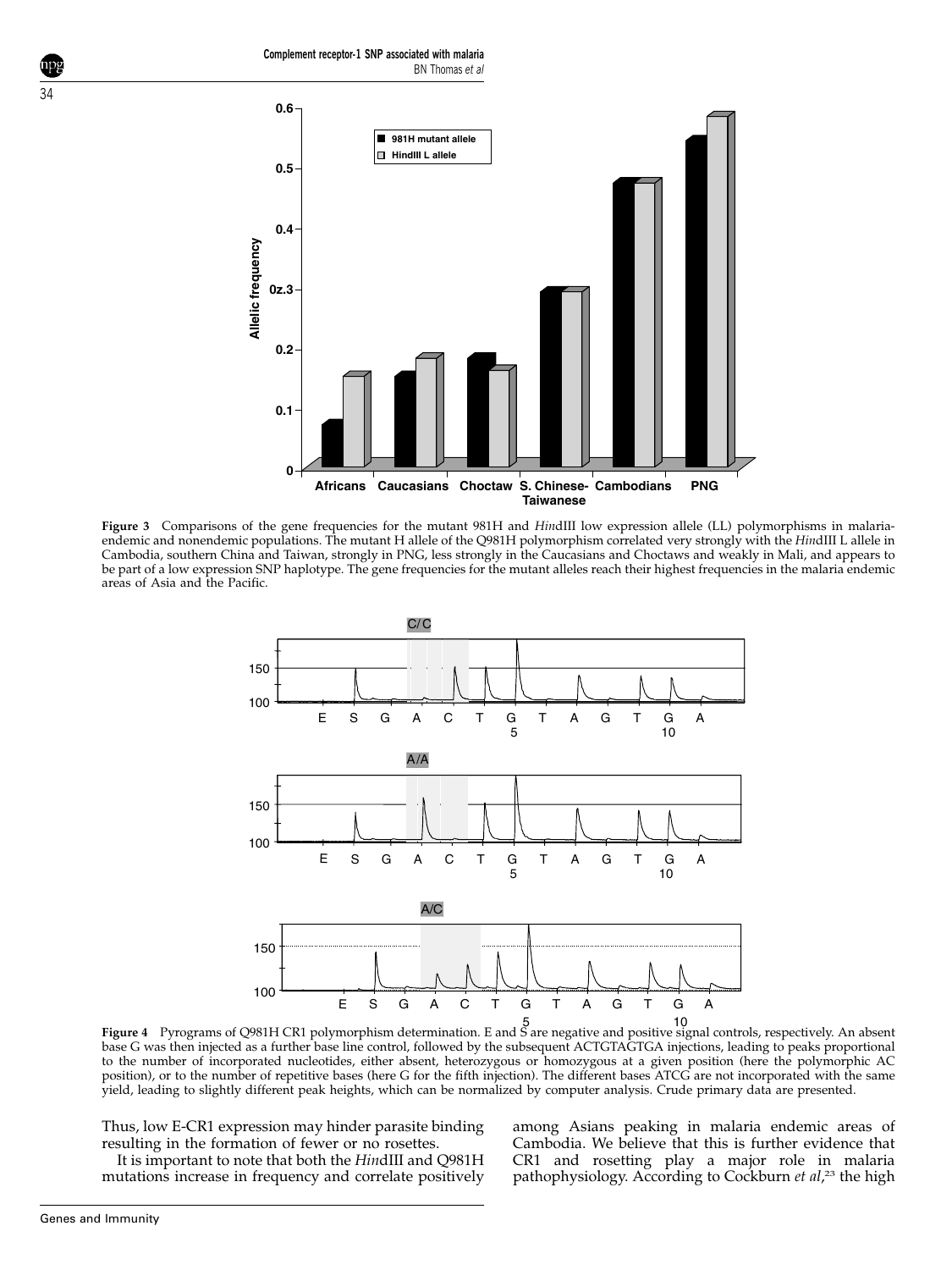Complement receptor-1 SNP associated with malaria BN Thomas et al



Figure 3 Comparisons of the gene frequencies for the mutant 981H and HindIII low expression allele (LL) polymorphisms in malariaendemic and nonendemic populations. The mutant H allele of the Q981H polymorphism correlated very strongly with the HindIII L allele in Cambodia, southern China and Taiwan, strongly in PNG, less strongly in the Caucasians and Choctaws and weakly in Mali, and appears to be part of a low expression SNP haplotype. The gene frequencies for the mutant alleles reach their highest frequencies in the malaria endemic areas of Asia and the Pacific.



5 10 Figure 4 Pyrograms of Q981H CR1 polymorphism determination. E and S are negative and positive signal controls, respectively. An absent base G was then injected as a further base line control, followed by the subsequent ACTGTAGTGA injections, leading to peaks proportional to the number of incorporated nucleotides, either absent, heterozygous or homozygous at a given position (here the polymorphic AC position), or to the number of repetitive bases (here G for the fifth injection). The different bases ATCG are not incorporated with the same yield, leading to slightly different peak heights, which can be normalized by computer analysis. Crude primary data are presented.

Thus, low E-CR1 expression may hinder parasite binding resulting in the formation of fewer or no rosettes.

It is important to note that both the HindIII and Q981H mutations increase in frequency and correlate positively

among Asians peaking in malaria endemic areas of Cambodia. We believe that this is further evidence that CR1 and rosetting play a major role in malaria pathophysiology. According to Cockburn et al,<sup>23</sup> the high

34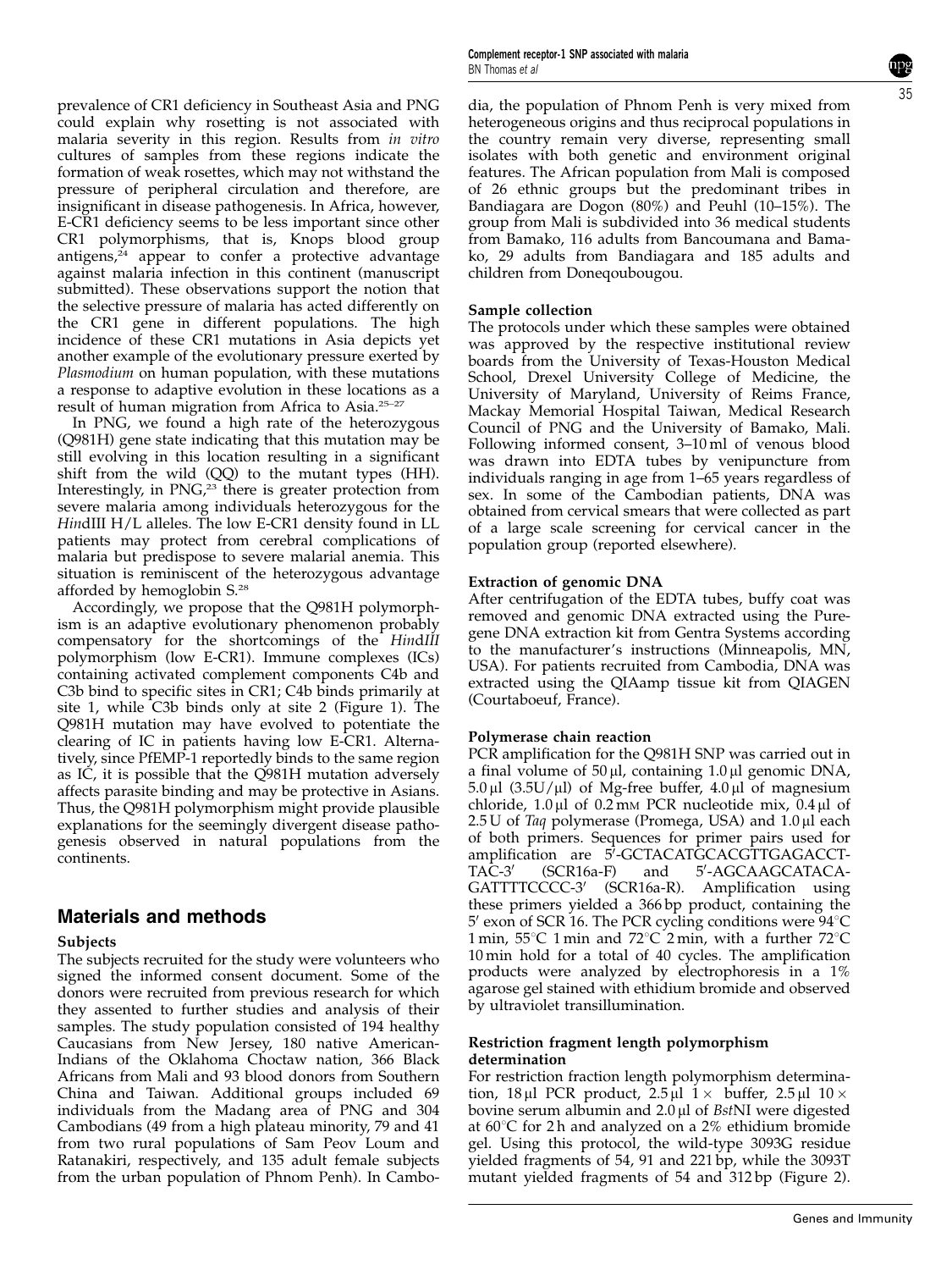prevalence of CR1 deficiency in Southeast Asia and PNG could explain why rosetting is not associated with malaria severity in this region. Results from in vitro cultures of samples from these regions indicate the formation of weak rosettes, which may not withstand the pressure of peripheral circulation and therefore, are insignificant in disease pathogenesis. In Africa, however, E-CR1 deficiency seems to be less important since other CR1 polymorphisms, that is, Knops blood group antigens, $24$  appear to confer a protective advantage against malaria infection in this continent (manuscript submitted). These observations support the notion that the selective pressure of malaria has acted differently on the CR1 gene in different populations. The high incidence of these CR1 mutations in Asia depicts yet another example of the evolutionary pressure exerted by Plasmodium on human population, with these mutations a response to adaptive evolution in these locations as a result of human migration from Africa to Asia.25–27

In PNG, we found a high rate of the heterozygous (Q981H) gene state indicating that this mutation may be still evolving in this location resulting in a significant shift from the wild (QQ) to the mutant types (HH). Interestingly, in PNG,<sup>23</sup> there is greater protection from severe malaria among individuals heterozygous for the HindIII H/L alleles. The low E-CR1 density found in LL patients may protect from cerebral complications of malaria but predispose to severe malarial anemia. This situation is reminiscent of the heterozygous advantage afforded by hemoglobin S.<sup>28</sup>

Accordingly, we propose that the Q981H polymorphism is an adaptive evolutionary phenomenon probably compensatory for the shortcomings of the HindIII polymorphism (low E-CR1). Immune complexes (ICs) containing activated complement components C4b and C3b bind to specific sites in CR1; C4b binds primarily at site 1, while C3b binds only at site 2 (Figure 1). The Q981H mutation may have evolved to potentiate the clearing of IC in patients having low E-CR1. Alternatively, since PfEMP-1 reportedly binds to the same region as IC, it is possible that the Q981H mutation adversely affects parasite binding and may be protective in Asians. Thus, the Q981H polymorphism might provide plausible explanations for the seemingly divergent disease pathogenesis observed in natural populations from the continents.

## Materials and methods

#### Subjects

The subjects recruited for the study were volunteers who signed the informed consent document. Some of the donors were recruited from previous research for which they assented to further studies and analysis of their samples. The study population consisted of 194 healthy Caucasians from New Jersey, 180 native American-Indians of the Oklahoma Choctaw nation, 366 Black Africans from Mali and 93 blood donors from Southern China and Taiwan. Additional groups included 69 individuals from the Madang area of PNG and 304 Cambodians (49 from a high plateau minority, 79 and 41 from two rural populations of Sam Peov Loum and Ratanakiri, respectively, and 135 adult female subjects from the urban population of Phnom Penh). In CamboComplement receptor-1 SNP associated with malaria BN Thomas et al

dia, the population of Phnom Penh is very mixed from heterogeneous origins and thus reciprocal populations in the country remain very diverse, representing small isolates with both genetic and environment original features. The African population from Mali is composed of 26 ethnic groups but the predominant tribes in Bandiagara are Dogon (80%) and Peuhl (10–15%). The group from Mali is subdivided into 36 medical students from Bamako, 116 adults from Bancoumana and Bamako, 29 adults from Bandiagara and 185 adults and children from Doneqoubougou.

#### Sample collection

The protocols under which these samples were obtained was approved by the respective institutional review boards from the University of Texas-Houston Medical School, Drexel University College of Medicine, the University of Maryland, University of Reims France, Mackay Memorial Hospital Taiwan, Medical Research Council of PNG and the University of Bamako, Mali. Following informed consent, 3–10 ml of venous blood was drawn into EDTA tubes by venipuncture from individuals ranging in age from 1–65 years regardless of sex. In some of the Cambodian patients, DNA was obtained from cervical smears that were collected as part of a large scale screening for cervical cancer in the population group (reported elsewhere).

#### Extraction of genomic DNA

After centrifugation of the EDTA tubes, buffy coat was removed and genomic DNA extracted using the Puregene DNA extraction kit from Gentra Systems according to the manufacturer's instructions (Minneapolis, MN, USA). For patients recruited from Cambodia, DNA was extracted using the QIAamp tissue kit from QIAGEN (Courtaboeuf, France).

#### Polymerase chain reaction

PCR amplification for the Q981H SNP was carried out in a final volume of  $50 \mu l$ , containing  $1.0 \mu l$  genomic DNA,  $5.0 \,\mu$ l (3.5U/ $\mu$ l) of Mg-free buffer, 4.0 $\mu$ l of magnesium chloride,  $1.0 \mu$ l of  $0.2 \text{ mm}$  PCR nucleotide mix,  $0.4 \mu$ l of  $2.5$  U of Taq polymerase (Promega, USA) and  $1.0 \mu$ l each of both primers. Sequences for primer pairs used for amplification are 5<sup>7</sup>-GCTACATGCACGTTGAGACCT- $TA\tilde{C}-3'$  (SCR16a-F) and -AGCAAGCATACA-GATTTTCCCC-3' (SCR16a-R). Amplification using these primers yielded a 366 bp product, containing the  $5'$  exon of SCR 16. The PCR cycling conditions were  $94^{\circ}$ C 1 min,  $55^{\circ}$ C 1 min and  $72^{\circ}$ C 2 min, with a further  $72^{\circ}$ C 10 min hold for a total of 40 cycles. The amplification products were analyzed by electrophoresis in a 1% agarose gel stained with ethidium bromide and observed by ultraviolet transillumination.

#### Restriction fragment length polymorphism determination

For restriction fraction length polymorphism determination, 18 µl PCR product,  $2.5 \mu$ l 1 × buffer,  $2.5 \mu$ l 10 × bovine serum albumin and  $2.0 \mu$ l of BstNI were digested at  $60^{\circ}$ C for 2 h and analyzed on a 2% ethidium bromide gel. Using this protocol, the wild-type 3093G residue yielded fragments of 54, 91 and 221 bp, while the 3093T mutant yielded fragments of 54 and 312 bp (Figure 2).

35